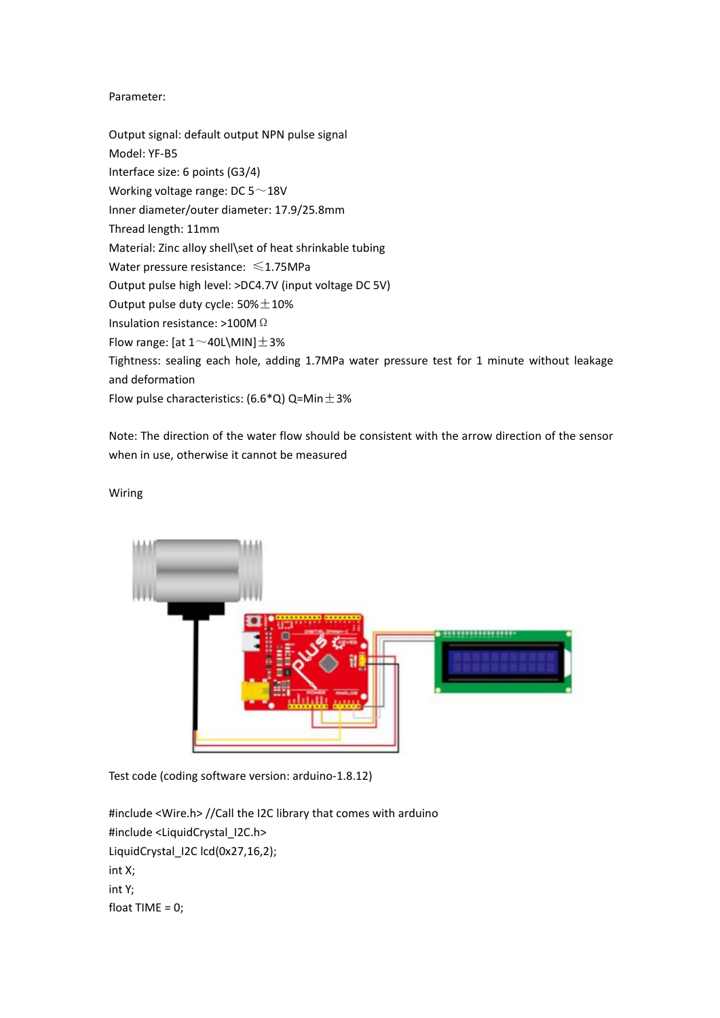## Parameter:

Output signal: default output NPN pulse signal Model: YF-B5 Interface size: 6 points (G3/4) Working voltage range: DC 5~18V Inner diameter/outer diameter: 17.9/25.8mm Thread length: 11mm Material: Zinc alloy shell\set of heat shrinkable tubing Water pressure resistance: ≤1.75MPa Output pulse high level:>DC4.7V (input voltage DC 5V) Output pulse duty cycle:  $50\% \pm 10\%$ Insulation resistance: >100MΩ Flow range: [at  $1 \sim 40$ L\MIN] $\pm 3\%$ Tightness: sealing each hole, adding 1.7MPa water pressure test for 1 minute without leakage and deformation Flow pulse characteristics: (6.6\*Q) Q=Min $\pm$ 3%

Note: The direction of the water flow should be consistent with the arrow direction of the sensor when in use, otherwise it cannot be measured

## Wiring



Test code (coding software version: arduino-1.8.12)

#include <Wire.h> //Call the I2C library that comes with arduino #include <LiquidCrystal\_I2C.h> LiquidCrystal\_I2C lcd(0x27,16,2); int X; int Y; float TIME =  $0$ ;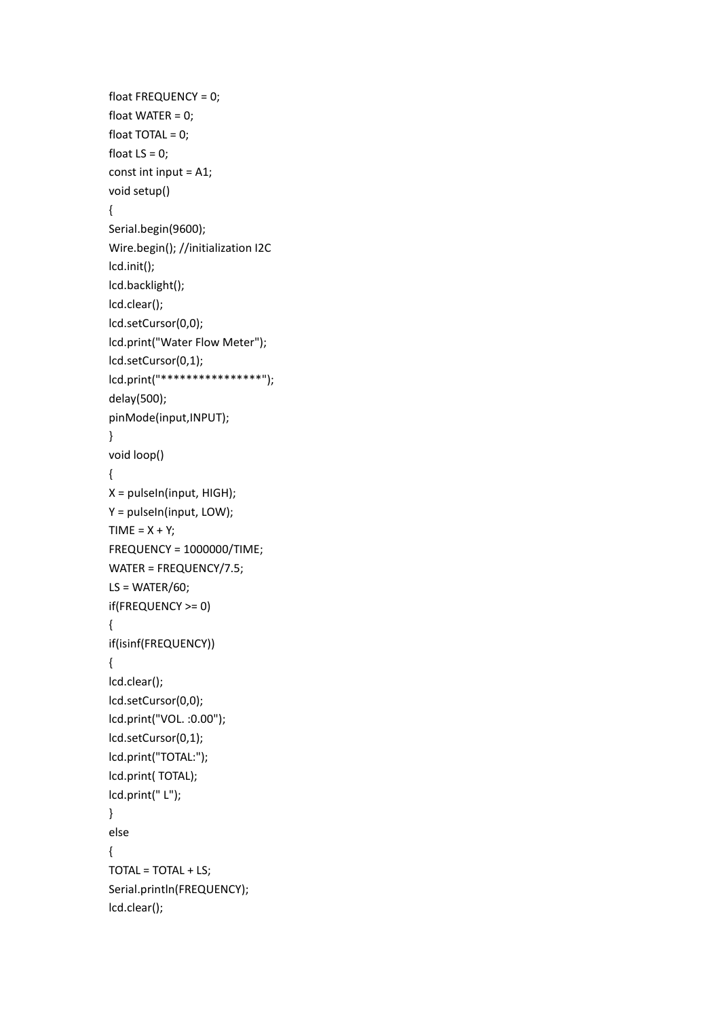```
float FREQUENCY = 0;
float WATER = 0;
float TOTAL = 0;float LS = 0;
const int input = A1;
void setup()
{
Serial.begin(9600);
Wire.begin(); //initialization I2C
lcd.init();
lcd.backlight();
lcd.clear();
lcd.setCursor(0,0);
lcd.print("Water Flow Meter");
lcd.setCursor(0,1);
lcd.print("****************");
delay(500);
pinMode(input,INPUT);
}
void loop()
{
X = pulseIn(input, HIGH);
Y = pulseIn(input, LOW);
TIME = X + Y;FREQUENCY = 1000000/TIME;
WATER = FREQUENCY/7.5;
LS = WATER/60;if(FREQUENCY >= 0)
{
if(isinf(FREQUENCY))
{
lcd.clear();
lcd.setCursor(0,0);
lcd.print("VOL. :0.00");
lcd.setCursor(0,1);
lcd.print("TOTAL:");
lcd.print( TOTAL);
lcd.print(" L");
}
else
{
TOTAL = TOTAL + LS;
Serial.println(FREQUENCY);
lcd.clear();
```